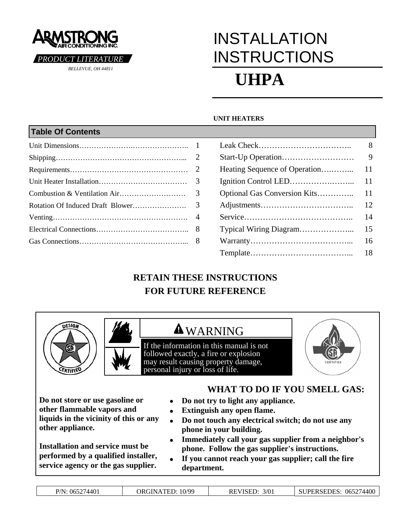

# INSTALLATION **INSTRUCTIONS UHPA**

#### **UNIT HEATERS**

## **Table Of Contents**  Unit Dimensions………………….………………….. 1 Leak Check…………………………….. 8 Shipping……………………………………………... 2 Start-Up Operation……………………… 9 Requirements………………………………………… 2 Heating Sequence of Operation….……... 11 Unit Heater Installation……………………………… 3 Ignition Control LED…………….……... 11 Combustion & Ventilation Air……………………… 3 Optional Gas Conversion Kits………….. 11 Rotation Of Induced Draft Blower…………………. 3 Adjustments…………………………….. 12 Venting………………………………………………. 4 Service………………………………….. 14 Electrical Connections……………………………….. 8 Typical Wiring Diagram………………... 15 Gas Connections……………………………………... 8 Warranty………………………………... 16 Template………………………………... 18

# **RETAIN THESE INSTRUCTIONS FOR FUTURE REFERENCE**





# **AWARNING**

If the information in this manual is not followed exactly, a fire or explosion may result causing property damage*,* personal injury or loss of life.



**Do not store or use gasoline or other flammable vapors and liquids in the vicinity of this or any other appliance.**

**Installation and service must be performed by a qualified installer, service agency or the gas supplier.**

### **WHAT TO DO IF YOU SMELL GAS:**

- **Do not try to light any appliance.**
- **Extinguish any open flame.**
- **Do not touch any electrical switch; do not use any phone in your building.**
- **Immediately call your gas supplier from a neighbor's phone. Follow the gas supplier's instructions.**
- **If you cannot reach your gas supplier; call the fire department.**

| P/N: 065274401 |  |
|----------------|--|
|                |  |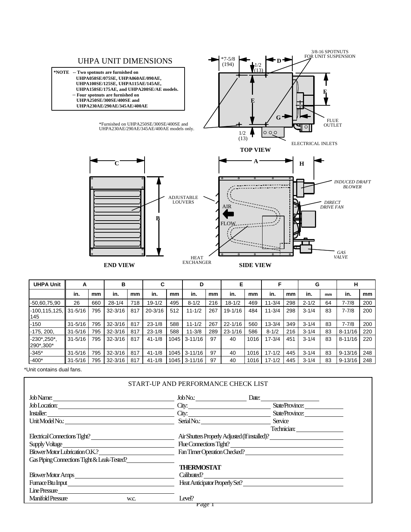

| <b>UHPA Unit</b>                  | А           |     | в           |     | C           |      | D           |     | Е           |      |            |     | G         |    | н           |     |
|-----------------------------------|-------------|-----|-------------|-----|-------------|------|-------------|-----|-------------|------|------------|-----|-----------|----|-------------|-----|
|                                   | in.         | mm  | in.         | mm  | in.         | mm   | in.         | mm  | in.         | mm   | in.        | mm  | in.       | mm | in.         | mm  |
| $-50,60,75,90$                    | 26          | 660 | $28 - 1/4$  | 718 | $19 - 1/2$  | 495  | $8 - 1/2$   | 216 | $18 - 1/2$  | 469  | $11 - 3/4$ | 298 | $2 - 1/2$ | 64 | $7 - 7/8$   | 200 |
| $-100, 115, 125,$<br>145          | $31 - 5/16$ | 795 | $32 - 3/16$ | 817 | $20 - 3/16$ | 512  | $11 - 1/2$  | 267 | 19-1/16     | 484  | $11 - 3/4$ | 298 | $3 - 1/4$ | 83 | $7 - 7/8$   | 200 |
| $-150$                            | $31 - 5/16$ | 795 | $32 - 3/16$ | 817 | $23 - 1/8$  | 588  | $11 - 1/2$  | 267 | $22 - 1/16$ | 560  | $13 - 3/4$ | 349 | $3 - 1/4$ | 83 | $7 - 7/8$   | 200 |
| $-175, 200,$                      | $31 - 5/16$ | 795 | $32 - 3/16$ | 817 | $23 - 1/8$  | 588  | $11 - 3/8$  | 289 | $23 - 1/16$ | 586  | $8 - 1/2$  | 216 | $3 - 1/4$ | 83 | $8 - 11/16$ | 220 |
| $-230^*$ , $250^*$ ,<br>290*,300* | $31 - 5/16$ | 795 | $32 - 3/16$ | 817 | $41 - 1/8$  | 1045 | $3 - 11/16$ | 97  | 40          | 1016 | $17 - 3/4$ | 451 | $3 - 1/4$ | 83 | $8 - 11/16$ | 220 |
| $-345*$                           | $31 - 5/16$ | 795 | $32 - 3/16$ | 817 | $41 - 1/8$  | 1045 | $3 - 11/16$ | 97  | 40          | 1016 | $17 - 1/2$ | 445 | $3 - 1/4$ | 83 | $9 - 13/16$ | 248 |
| $-400*$                           | $31 - 5/16$ | 795 | $32 - 3/16$ | 817 | $41 - 1/8$  | 1045 | $3 - 11/16$ | 97  | 40          | 1016 | $17 - 1/2$ | 445 | $3 - 1/4$ | 83 | $9 - 13/16$ | 248 |

\*Unit contains dual fans.

|                                             | START-UP AND PERFORMANCE CHECK LIST |                                                |
|---------------------------------------------|-------------------------------------|------------------------------------------------|
| Job Name:                                   |                                     | Date:                                          |
|                                             |                                     | State/Province:<br>City:                       |
|                                             |                                     | State/Province:                                |
| Unit Model No.:                             | Serial No.:                         | Service                                        |
|                                             |                                     | Technician:                                    |
| Electrical Connections Tight?               |                                     | Air Shutters Properly Adjusted (If installed)? |
| Supply Voltage                              |                                     | Flue Connections Tight?                        |
| Blower Motor Lubrication O.K.?              |                                     | Fan Timer Operation Checked?                   |
| Gas Piping Connections Tight & Leak-Tested? |                                     |                                                |
|                                             | <b>THERMOSTAT</b>                   |                                                |
| Blower Motor Amps                           |                                     | Calibrated?                                    |
| Fumace Btu Input                            |                                     | Heat Anticipator Properly Set?                 |
| Line Pressure                               |                                     |                                                |
| Manifold Pressure<br>W.C.                   | Level?                              |                                                |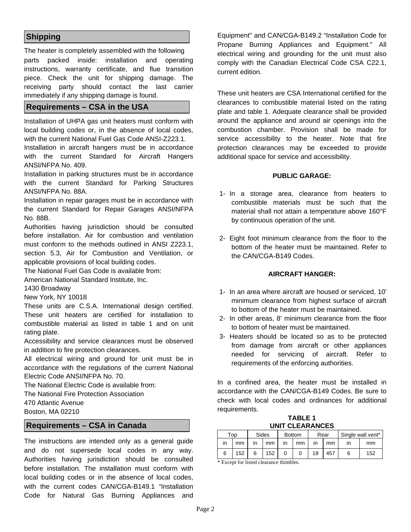#### **Shipping**

The heater is completely assembled with the following parts packed inside: installation and operating instructions, warranty certificate, and flue transition piece. Check the unit for shipping damage. The receiving party should contact the last carrier immediately if any shipping damage is found.

#### **Requirements – CSA in the USA**

Installation of UHPA gas unit heaters must conform with local building codes or, in the absence of local codes, with the current National Fuel Gas Code ANSI-Z223.1.

Installation in aircraft hangers must be in accordance with the current Standard for Aircraft Hangers ANSI/NFPA No. 409.

Installation in parking structures must be in accordance with the current Standard for Parking Structures ANSI/NFPA No. 88A.

Installation in repair garages must be in accordance with the current Standard for Repair Garages ANSI/NFPA No. 88B.

Authorities having jurisdiction should be consulted before installation. Air for combustion and ventilation must conform to the methods outlined in ANSI Z223.1, section 5.3, Air for Combustion and Ventilation, or applicable provisions of local building codes.

The National Fuel Gas Code is available from:

American National Standard Institute, Inc.

1430 Broadway

New York, NY 10018

These units are C.S.A. International design certified. These unit heaters are certified for installation to combustible material as listed in table 1 and on unit rating plate.

Accessibility and service clearances must be observed in addition to fire protection clearances.

All electrical wiring and ground for unit must be in accordance with the regulations of the current National Electric Code ANSI/NFPA No. 70.

The National Electric Code is available from:

The National Fire Protection Association

470 Atlantic Avenue

Boston, MA 02210

#### **Requirements – CSA in Canada**

The instructions are intended only as a general guide and do not supersede local codes in any way. Authorities having jurisdiction should be consulted before installation. The installation must conform with local building codes or in the absence of local codes, with the current codes CAN/CGA-B149.1 "Installation Code for Natural Gas Burning Appliances and

Equipment" and CAN/CGA-B149.2 "Installation Code for Propane Burning Appliances and Equipment." All electrical wiring and grounding for the unit must also comply with the Canadian Electrical Code CSA C22.1, current edition.

These unit heaters are CSA International certified for the clearances to combustible material listed on the rating plate and table 1. Adequate clearance shall be provided around the appliance and around air openings into the combustion chamber. Provision shall be made for service accessibility to the heater. Note that fire protection clearances may be exceeded to provide additional space for service and accessibility.

#### **PUBLIC GARAGE:**

- 1- In a storage area, clearance from heaters to combustible materials must be such that the material shall not attain a temperature above 160°F by continuous operation of the unit.
- 2- Eight foot minimum clearance from the floor to the bottom of the heater must be maintained. Refer to the CAN/CGA-B149 Codes.

#### **AIRCRAFT HANGER:**

- 1- In an area where aircraft are housed or serviced, 10' minimum clearance from highest surface of aircraft to bottom of the heater must be maintained.
- 2- In other areas, 8' minimum clearance from the floor to bottom of heater must be maintained.
- 3- Heaters should be located so as to be protected from damage from aircraft or other appliances needed for servicing of aircraft. Refer to requirements of the enforcing authorities.

In a confined area, the heater must be installed in accordance with the CAN/CGA-B149 Codes. Be sure to check with local codes and ordinances for additional requirements.

**TABLE 1 UNIT CLEARANCES** 

|    | Top |    | Sides | <b>Bottom</b> |    | Rear |     | Single wall vent* |     |
|----|-----|----|-------|---------------|----|------|-----|-------------------|-----|
| in | mm  | ın | mm    | ın            | mm | ın   | mm  |                   | mm  |
| 6  | 152 | 6  | 152   |               |    | 18   | 457 |                   | 152 |

\* Except for listed clearance thimbles.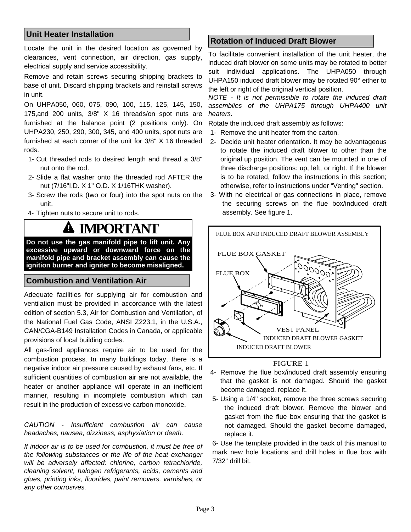#### **Unit Heater Installation**

Locate the unit in the desired location as governed by clearances, vent connection, air direction, gas supply, electrical supply and service accessibility.

Remove and retain screws securing shipping brackets to base of unit. Discard shipping brackets and reinstall screws in unit.

On UHPA050, 060, 075, 090, 100, 115, 125, 145, 150, 175,and 200 units, 3/8" X 16 threads/on spot nuts are furnished at the balance point (2 positions only). On UHPA230, 250, 290, 300, 345, and 400 units, spot nuts are furnished at each corner of the unit for 3/8" X 16 threaded rods.

- 1- Cut threaded rods to desired length and thread a 3/8" nut onto the rod.
- 2- Slide a flat washer onto the threaded rod AFTER the nut (7/16"I.D. X 1" O.D. X 1/16THK washer).
- 3- Screw the rods (two or four) into the spot nuts on the unit.
- 4- Tighten nuts to secure unit to rods.

# **IMPORTANT**

**Do not use the gas manifold pipe to lift unit. Any excessive upward or downward force on the manifold pipe and bracket assembly can cause the ignition burner and igniter to become misaligned.** 

#### **Combustion and Ventilation Air**

Adequate facilities for supplying air for combustion and ventilation must be provided in accordance with the latest edition of section 5.3, Air for Combustion and Ventilation, of the National Fuel Gas Code, ANSI Z223.1, in the U.S.A., CAN/CGA-B149 Installation Codes in Canada, or applicable provisions of local building codes.

All gas-fired appliances require air to be used for the combustion process. In many buildings today, there is a negative indoor air pressure caused by exhaust fans, etc. If sufficient quantities of combustion air are not available, the heater or another appliance will operate in an inefficient manner, resulting in incomplete combustion which can result in the production of excessive carbon monoxide.

#### *CAUTION - Insufficient combustion air can cause headaches, nausea, dizziness, asphyxiation or death.*

*If indoor air is to be used for combustion, it must be free of the following substances or the life of the heat exchanger will be adversely affected: chlorine, carbon tetrachloride, cleaning solvent, halogen refrigerants, acids, cements and glues, printing inks, fluorides, paint removers, varnishes, or any other corrosives.* 

#### **Rotation of Induced Draft Blower**

To facilitate convenient installation of the unit heater, the induced draft blower on some units may be rotated to better suit individual applications. The UHPA050 through UHPA150 induced draft blower may be rotated 90° either to the left or right of the original vertical position.

*NOTE - It is not permissible to rotate the induced draft assemblies of the UHPA175 through UHPA400 unit heaters.* 

Rotate the induced draft assembly as follows:

- 1- Remove the unit heater from the carton.
- 2- Decide unit heater orientation. It may be advantageous to rotate the induced draft blower to other than the original up position. The vent can be mounted in one of three discharge positions: up, left, or right. If the blower is to be rotated, follow the instructions in this section; otherwise, refer to instructions under "Venting" section.
- 3- With no electrical or gas connections in place, remove the securing screws on the flue box/induced draft assembly. See figure 1.



#### FIGURE 1

- 4- Remove the flue box/induced draft assembly ensuring that the gasket is not damaged. Should the gasket become damaged, replace it.
- 5- Using a 1/4" socket, remove the three screws securing the induced draft blower. Remove the blower and gasket from the flue box ensuring that the gasket is not damaged. Should the gasket become damaged, replace it.

6- Use the template provided in the back of this manual to mark new hole locations and drill holes in flue box with 7/32" drill bit.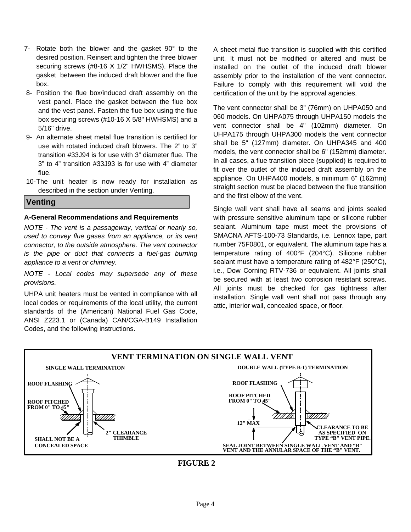- 7- Rotate both the blower and the gasket 90° to the desired position. Reinsert and tighten the three blower securing screws (#8-16 X 1/2" HWHSMS). Place the gasket between the induced draft blower and the flue box.
- 8- Position the flue box/induced draft assembly on the vest panel. Place the gasket between the flue box and the vest panel. Fasten the flue box using the flue box securing screws (#10-16 X 5/8" HWHSMS) and a 5/16" drive.
- 9- An alternate sheet metal flue transition is certified for use with rotated induced draft blowers. The 2" to 3" transition #33J94 is for use with 3" diameter flue. The 3" to 4" transition #33J93 is for use with 4" diameter flue.
- 10- The unit heater is now ready for installation as described in the section under Venting.

#### **Venting**

#### **A-General Recommendations and Requirements**

*NOTE - The vent is a passageway, vertical or nearly so, used to convey flue gases from an appliance, or its vent connector, to the outside atmosphere. The vent connector is the pipe or duct that connects a fuel-gas burning appliance to a vent or chimney.* 

*NOTE - Local codes may supersede any of these provisions.* 

UHPA unit heaters must be vented in compliance with all local codes or requirements of the local utility, the current standards of the (American) National Fuel Gas Code, ANSI Z223.1 or (Canada) CAN/CGA-B149 Installation Codes, and the following instructions.

A sheet metal flue transition is supplied with this certified unit. It must not be modified or altered and must be installed on the outlet of the induced draft blower assembly prior to the installation of the vent connector. Failure to comply with this requirement will void the certification of the unit by the approval agencies.

The vent connector shall be 3" (76mm) on UHPA050 and 060 models. On UHPA075 through UHPA150 models the vent connector shall be 4" (102mm) diameter. On UHPA175 through UHPA300 models the vent connector shall be 5" (127mm) diameter. On UHPA345 and 400 models, the vent connector shall be 6" (152mm) diameter. In all cases, a flue transition piece (supplied) is required to fit over the outlet of the induced draft assembly on the appliance. On UHPA400 models, a minimum 6" (162mm) straight section must be placed between the flue transition and the first elbow of the vent.

Single wall vent shall have all seams and joints sealed with pressure sensitive aluminum tape or silicone rubber sealant. Aluminum tape must meet the provisions of SMACNA AFTS-100-73 Standards, i.e. Lennox tape, part number 75F0801, or equivalent. The aluminum tape has a temperature rating of 400°F (204°C). Silicone rubber sealant must have a temperature rating of 482°F (250°C), i.e., Dow Corning RTV-736 or equivalent. All joints shall be secured with at least two corrosion resistant screws. All joints must be checked for gas tightness after installation. Single wall vent shall not pass through any attic, interior wall, concealed space, or floor.



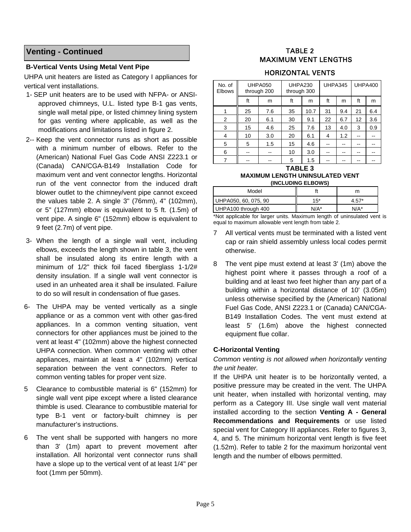#### **Venting - Continued**

#### **B-Vertical Vents Using Metal Vent Pipe**

UHPA unit heaters are listed as Category I appliances for vertical vent installations.

- 1- SEP unit heaters are to be used with NFPA- or ANSIapproved chimneys, U.L. listed type B-1 gas vents, single wall metal pipe, or listed chimney lining system for gas venting where applicable, as well as the modifications and limitations listed in figure 2.
- 2-- Keep the vent connector runs as short as possible with a minimum number of elbows. Refer to the (American) National Fuel Gas Code ANSI Z223.1 or (Canada) CAN/CGA-B149 Installation Code for maximum vent and vent connector lengths. Horizontal run of the vent connector from the induced draft blower outlet to the chimney/vent pipe cannot exceed the values table 2. A single 3" (76mm), 4" (102mm), or 5" (127mm) elbow is equivalent to 5 ft. (1.5m) of vent pipe. A single 6" (152mm) elbow is equivalent to 9 feet (2.7m) of vent pipe.
- 3- When the length of a single wall vent, including elbows, exceeds the length shown in table 3, the vent shall be insulated along its entire length with a minimum of 1/2" thick foil faced fiberglass 1-1/2# density insulation. If a single wall vent connector is used in an unheated area it shall be insulated. Failure to do so will result in condensation of flue gases.
- 6- The UHPA may be vented vertically as a single appliance or as a common vent with other gas-fired appliances. In a common venting situation, vent connectors for other appliances must be joined to the vent at least 4" (102mm) above the highest connected UHPA connection. When common venting with other appliances, maintain at least a 4" (102mm) vertical separation between the vent connectors. Refer to common venting tables for proper vent size.
- 5 Clearance to combustible material is 6" (152mm) for single wall vent pipe except where a listed clearance thimble is used. Clearance to combustible material for type B-1 vent or factory-built chimney is per manufacturer's instructions.
- 6 The vent shall be supported with hangers no more than 3' (1m) apart to prevent movement after installation. All horizontal vent connector runs shall have a slope up to the vertical vent of at least 1/4" per foot (1mm per 50mm).

#### TABLE 2 MAXIMUM VENT LENGTHS

#### HORIZONTAL VENTS

| No. of<br>Elbows |    | UHPA050<br>through 200 | UHPA230<br>through 300 |      | UHPA345 |     | UHPA400 |     |
|------------------|----|------------------------|------------------------|------|---------|-----|---------|-----|
|                  | ft | m                      | ft                     | m    | ft      | m   | ft      | m   |
| 1                | 25 | 7.6                    | 35                     | 10.7 | 31      | 9.4 | 21      | 6.4 |
| 2                | 20 | 6.1                    | 30                     | 9.1  | 22      | 6.7 | 12      | 3.6 |
| 3                | 15 | 4.6                    | 25                     | 7.6  | 13      | 4.0 | 3       | 0.9 |
| $\overline{4}$   | 10 | 3.0                    | 20                     | 6.1  | 4       | 1.2 | --      |     |
| 5                | 5  | 1.5                    | 15                     | 4.6  |         |     |         |     |
| 6                |    |                        | 10                     | 3.0  |         |     | --      |     |
| 7                |    |                        | 5                      | 1.5  |         |     |         |     |

#### **TABLE 3 MAXIMUM LENGTH UNINSULATED VENT (INCLUDING ELBOWS)**

| Model                |       |         |
|----------------------|-------|---------|
| UHPA050, 60, 075, 90 | $15*$ | $4.57*$ |
| UHPA100 through 400  | N/A*  | $N/A^*$ |

\*Not applicable for larger units. Maximum length of uninsulated vent is equal to maximum allowable vent length from table 2.

- 7 All vertical vents must be terminated with a listed vent cap or rain shield assembly unless local codes permit otherwise.
- 8 The vent pipe must extend at least 3' (1m) above the highest point where it passes through a roof of a building and at least two feet higher than any part of a building within a horizontal distance of 10' (3.05m) unless otherwise specified by the (American) National Fuel Gas Code, ANSI Z223.1 or (Canada) CAN/CGA-B149 Installation Codes. The vent must extend at least 5' (1.6m) above the highest connected equipment flue collar.

#### **C-Horizontal Venting**

*Common venting is not allowed when horizontally venting the unit heater.* 

If the UHPA unit heater is to be horizontally vented, a positive pressure may be created in the vent. The UHPA unit heater, when installed with horizontal venting, may perform as a Category III. Use single wall vent material installed according to the section **Venting A - General Recommendations and Requirements** or use listed special vent for Category III appliances. Refer to figures 3, 4, and 5. The minimum horizontal vent length is five feet (1.52m). Refer to table 2 for the maximum horizontal vent length and the number of elbows permitted.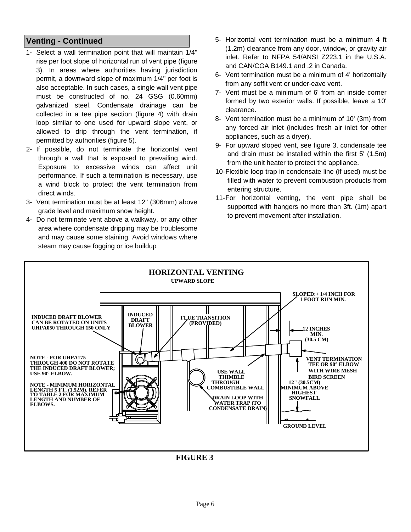#### **Venting - Continued**

- 1- Select a wall termination point that will maintain 1/4" rise per foot slope of horizontal run of vent pipe (figure 3). In areas where authorities having jurisdiction permit, a downward slope of maximum 1/4" per foot is also acceptable. In such cases, a single wall vent pipe must be constructed of no. 24 GSG (0.60mm) galvanized steel. Condensate drainage can be collected in a tee pipe section (figure 4) with drain loop similar to one used for upward slope vent, or allowed to drip through the vent termination, if permitted by authorities (figure 5).
- 2- If possible, do not terminate the horizontal vent through a wall that is exposed to prevailing wind. Exposure to excessive winds can affect unit performance. If such a termination is necessary, use a wind block to protect the vent termination from direct winds.
- 3- Vent termination must be at least 12" (306mm) above grade level and maximum snow height.
- 4- Do not terminate vent above a walkway, or any other area where condensate dripping may be troublesome and may cause some staining. Avoid windows where steam may cause fogging or ice buildup
- 5- Horizontal vent termination must be a minimum 4 ft (1.2m) clearance from any door, window, or gravity air inlet. Refer to NFPA 54/ANSI Z223.1 in the U.S.A. and CAN/CGA B149.1 and .2 in Canada.
- 6- Vent termination must be a minimum of 4' horizontally from any soffit vent or under-eave vent.
- 7- Vent must be a minimum of 6' from an inside corner formed by two exterior walls. If possible, leave a 10' clearance.
- 8- Vent termination must be a minimum of 10' (3m) from any forced air inlet (includes fresh air inlet for other appliances, such as a dryer).
- 9- For upward sloped vent, see figure 3, condensate tee and drain must be installed within the first 5' (1.5m) from the unit heater to protect the appliance.
- 10- Flexible loop trap in condensate line (if used) must be filled with water to prevent combustion products from entering structure.
- 11- For horizontal venting, the vent pipe shall be supported with hangers no more than 3ft. (1m) apart to prevent movement after installation.



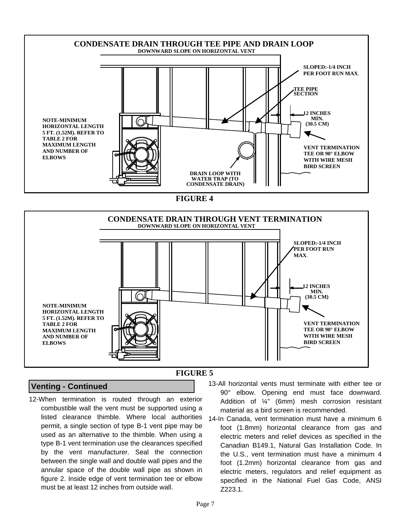

**FIGURE 4**



#### **Venting - Continued**

12-When termination is routed through an exterior combustible wall the vent must be supported using a listed clearance thimble. Where local authorities permit, a single section of type B-1 vent pipe may be used as an alternative to the thimble. When using a type B-1 vent termination use the clearances specified by the vent manufacturer. Seal the connection between the single wall and double wall pipes and the annular space of the double wall pipe as shown in figure 2. Inside edge of vent termination tee or elbow must be at least 12 inches from outside wall.

- 13-All horizontal vents must terminate with either tee or 90° elbow. Opening end must face downward. Addition of ¼" (6mm) mesh corrosion resistant material as a bird screen is recommended.
- 14-In Canada, vent termination must have a minimum 6 foot (1.8mm) horizontal clearance from gas and electric meters and relief devices as specified in the Canadian B149.1, Natural Gas Installation Code. In the U.S., vent termination must have a minimum 4 foot (1.2mm) horizontal clearance from gas and electric meters, regulators and relief equipment as specified in the National Fuel Gas Code, ANSI Z223.1.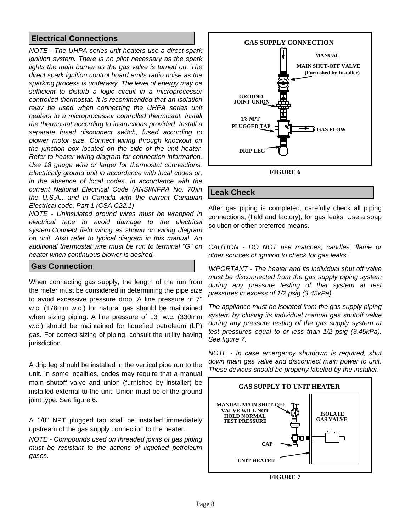#### **Electrical Connections**

*NOTE - The UHPA series unit heaters use a direct spark ignition system. There is no pilot necessary as the spark lights the main burner as the gas valve is turned on. The direct spark ignition control board emits radio noise as the sparking process is underway. The level of energy may be sufficient to disturb a logic circuit in a microprocessor controlled thermostat. It is recommended that an isolation relay be used when connecting the UHPA series unit heaters to a microprocessor controlled thermostat. Install the thermostat according to instructions provided. Install a separate fused disconnect switch, fused according to blower motor size. Connect wiring through knockout on the junction box located on the side of the unit heater. Refer to heater wiring diagram for connection information. Use 18 gauge wire or larger for thermostat connections. Electrically ground unit in accordance with local codes or, in the absence of local codes, in accordance with the current National Electrical Code (ANSI/NFPA No. 70)in the U.S.A., and in Canada with the current Canadian Electrical code, Part 1 (CSA C22.1)* 

*NOTE - Uninsulated ground wires must be wrapped in electrical tape to avoid damage to the electrical system.Connect field wiring as shown on wiring diagram on unit. Also refer to typical diagram in this manual. An additional thermostat wire must be run to terminal "G" on heater when continuous blower is desired.* 

#### **Gas Connection**

When connecting gas supply, the length of the run from the meter must be considered in determining the pipe size to avoid excessive pressure drop. A line pressure of 7" w.c. (178mm w.c.) for natural gas should be maintained when sizing piping. A line pressure of 13" w.c. (330mm w.c.) should be maintained for liquefied petroleum (LP) gas. For correct sizing of piping, consult the utility having jurisdiction.

A drip leg should be installed in the vertical pipe run to the unit. In some localities, codes may require that a manual main shutoff valve and union (furnished by installer) be installed external to the unit. Union must be of the ground joint type. See figure 6.

A 1/8" NPT plugged tap shall be installed immediately upstream of the gas supply connection to the heater.

*NOTE - Compounds used on threaded joints of gas piping must be resistant to the actions of liquefied petroleum gases.* 



#### **FIGURE 6**

#### **Leak Check**

After gas piping is completed, carefully check all piping connections, (field and factory), for gas leaks. Use a soap solution or other preferred means.

*CAUTION - DO NOT use matches, candles, flame or other sources of ignition to check for gas leaks.* 

*IMPORTANT - The heater and its individual shut off valve must be disconnected from the gas supply piping system during any pressure testing of that system at test pressures in excess of 1/2 psig (3.45kPa).* 

*The appliance must be isolated from the gas supply piping system by closing its individual manual gas shutoff valve during any pressure testing of the gas supply system at test pressures equal to or less than 1/2 psig (3.45kPa). See figure 7.*

*NOTE - In case emergency shutdown is required, shut down main gas valve and disconnect main power to unit. These devices should be properly labeled by the installer.* 



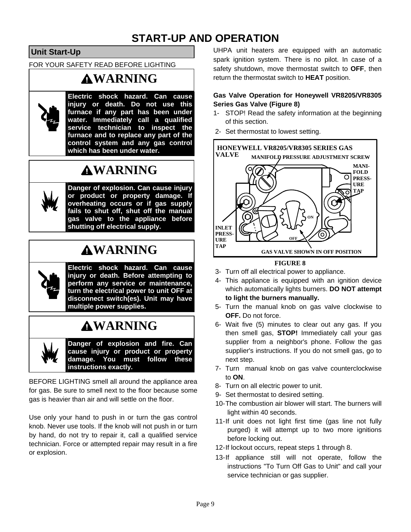# **START-UP AND OPERATION**

**Unit Start-Up** 

FOR YOUR SAFETY READ BEFORE LIGHTING

# **WARNING**



**Electric shock hazard. Can cause injury or death. Do not use this furnace if any part has been under water. Immediately call a qualified service technician to inspect the furnace and to replace any part of the control system and any gas control which has been under water.** 

# **WARNING**



**Danger of explosion. Can cause injury or product or property damage. If overheating occurs or if gas supply fails to shut off, shut off the manual gas valve to the appliance before shutting off electrical supply.**

# **WARNING**

**Electric shock hazard. Can cause injury or death. Before attempting to perform any service or maintenance, turn the electrical power to unit OFF at disconnect switch(es). Unit may have multiple power supplies.** 

# **WARNING**

**Danger of explosion and fire. Can cause injury or product or property damage. You must follow these instructions exactly.**

BEFORE LIGHTING smell all around the appliance area for gas. Be sure to smell next to the floor because some gas is heavier than air and will settle on the floor.

Use only your hand to push in or turn the gas control knob. Never use tools. If the knob will not push in or turn by hand, do not try to repair it, call a qualified service technician. Force or attempted repair may result in a fire or explosion.

UHPA unit heaters are equipped with an automatic spark ignition system. There is no pilot. In case of a safety shutdown, move thermostat switch to **OFF**, then return the thermostat switch to **HEAT** position.

#### **Gas Valve Operation for Honeywell VR8205/VR8305 Series Gas Valve (Figure 8)**

- 1- STOP! Read the safety information at the beginning of this section.
- 2- Set thermostat to lowest setting.



**FIGURE 8**

- 3- Turn off all electrical power to appliance.
- 4- This appliance is equipped with an ignition device which automatically lights burners. **DO NOT attempt to light the burners manually.**
- 5- Turn the manual knob on gas valve clockwise to **OFF.** Do not force.
- 6- Wait five (5) minutes to clear out any gas. If you then smell gas, **STOP!** Immediately call your gas supplier from a neighbor's phone. Follow the gas supplier's instructions. If you do not smell gas, go to next step.
- 7- Turn manual knob on gas valve counterclockwise to **ON**.
- 8- Turn on all electric power to unit.
- 9- Set thermostat to desired setting.
- 10- The combustion air blower will start. The burners will light within 40 seconds.
- 11-If unit does not light first time (gas line not fully purged) it will attempt up to two more ignitions before locking out.
- 12- If lockout occurs, repeat steps 1 through 8.
- 13- If appliance still will not operate, follow the instructions "To Turn Off Gas to Unit" and call your service technician or gas supplier.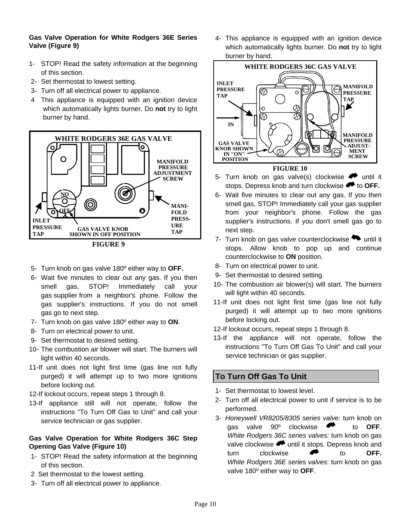#### **Gas Valve Operation for White Rodgers 36E Series Valve (Figure 9)**

- 1- STOP! Read the safety information at the beginning of this section.
- 2- Set thermostat to lowest setting.
- 3- Turn off all electrical power to appliance.
- 4 This appliance is equipped with an ignition device which automatically lights burner. Do **not** try to light burner by hand.



**FIGURE 9**

- 5- Turn knob on gas valve 180º either way to **OFF.**
- 6- Wait five minutes to clear out any gas. If you then smell gas, STOP! Immediately call your gas supplier from a neighbor's phone. Follow the gas supplier's instructions. If you do not smell gas go to next step.
- 7- Turn knob on gas valve 180º either way to **ON**.
- 8- Turn on electrical power to unit.
- 9- Set thermostat to desired setting.
- 10- The combustion air blower will start. The burners will light within 40 seconds.
- 11-If unit does not light first time (gas line not fully purged) it will attempt up to two more ignitions before locking out.
- 12-If lockout occurs, repeat steps 1 through 8.
- 13-If appliance still will not operate, follow the instructions "To Turn Off Gas to Unit" and call your service technician or gas supplier.

#### **Gas Valve Operation for White Rodgers 36C Step Opening Gas Valve (Figure 10)**

- 1- STOP! Read the safety information at the beginning of this section.
- 2 Set thermostat to the lowest setting.
- 3- Turn off all electrical power to appliance.

4- This appliance is equipped with an ignition device which automatically lights burner. Do **not** try to light burner by hand.



## **FIGURE 10**

- 5- Turn knob on gas valve(s) clockwise  $\bullet$  until it stops. Depress knob and turn clockwise **the OFF.**
- 6- Wait five minutes to clear out any gas. If you then smell gas, STOP! Immediately call your gas supplier from your neighbor's phone. Follow the gas supplier's instructions. If you don't smell gas go to next step.
- 7- Turn knob on gas valve counterclockwise  $\blacktriangleright$  until it stops. Allow knob to pop up and continue counterclockwise to **ON** position.
- 8- Turn on electrical power to unit.
- 9- Set thermostat to desired setting.
- 10- The combustion air blower(s) will start. The burners will light within 40 seconds.
- 11-If unit does not light first time (gas line not fully purged) it will attempt up to two more ignitions before locking out.
- 12-If lockout occurs, repeat steps 1 through 8.
- 13-If the appliance will not operate, follow the instructions "To Turn Off Gas To Unit" and call your service technician or gas supplier.

#### **To Turn Off Gas To Unit**

- 1- Set thermostat to lowest level.
- 2- Turn off all electrical power to unit if service is to be performed.
- 3- *Honeywell VR8205/8305 series valve:* turn knob on gas valve 90º clockwise to **OFF**. *White Rodgers 36C series valves:* turn knob on gas valve clockwise  $\blacktriangleright$  until it stops. Depress knob and turn clockwise **C** to **OFF.** *White Rodgers 36E series valves*: turn knob on gas valve 180º either way to **OFF**.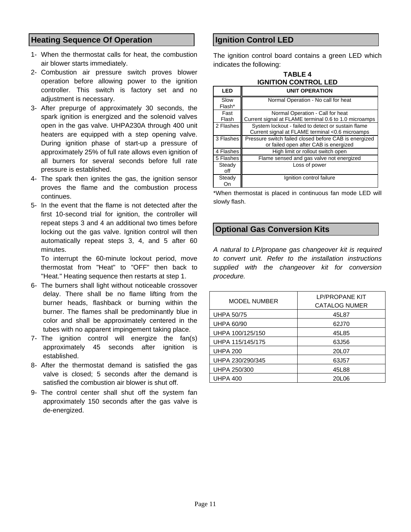#### **Heating Sequence Of Operation**

- 1- When the thermostat calls for heat, the combustion air blower starts immediately.
- 2- Combustion air pressure switch proves blower operation before allowing power to the ignition controller. This switch is factory set and no adjustment is necessary.
- 3- After prepurge of approximately 30 seconds, the spark ignition is energized and the solenoid valves open in the gas valve. UHPA230A through 400 unit heaters are equipped with a step opening valve. During ignition phase of start-up a pressure of approximately 25% of full rate allows even ignition of all burners for several seconds before full rate pressure is established.
- 4- The spark then ignites the gas, the ignition sensor proves the flame and the combustion process continues.
- 5- In the event that the flame is not detected after the first 10-second trial for ignition, the controller will repeat steps 3 and 4 an additional two times before locking out the gas valve. Ignition control will then automatically repeat steps 3, 4, and 5 after 60 minutes.

 To interrupt the 60-minute lockout period, move thermostat from "Heat" to "OFF" then back to "Heat." Heating sequence then restarts at step 1.

- 6- The burners shall light without noticeable crossover delay. There shall be no flame lifting from the burner heads, flashback or burning within the burner. The flames shall be predominantly blue in color and shall be approximately centered in the tubes with no apparent impingement taking place.
- 7- The ignition control will energize the fan(s) approximately 45 seconds after ignition is established.
- 8- After the thermostat demand is satisfied the gas valve is closed; 5 seconds after the demand is satisfied the combustion air blower is shut off.
- 9- The control center shall shut off the system fan approximately 150 seconds after the gas valve is de-energized.

#### **Ignition Control LED**

The ignition control board contains a green LED which indicates the following:

| <b>IGNITION CONTROL LED</b> | <b>TABLE 4</b> |
|-----------------------------|----------------|
|                             |                |

| LED       | <b>UNIT OPERATION</b>                                 |
|-----------|-------------------------------------------------------|
| Slow      | Normal Operation - No call for heat                   |
| Flash*    |                                                       |
| Fast      | Normal Operation - Call for heat                      |
| Flash     | Current signal at FLAME terminal 0.6 to 1.0 microamps |
| 2 Flashes | System lockout - failed to detect or sustain flame    |
|           | Current signal at FLAME terminal <0.6 microamps       |
| 3 Flashes | Pressure switch failed closed before CAB is energized |
|           | or failed open after CAB is energized                 |
| 4 Flashes | High limit or rollout switch open                     |
| 5 Flashes | Flame sensed and gas valve not energized              |
| Steady    | Loss of power                                         |
| off       |                                                       |
| Steady    | Ignition control failure                              |
| On        |                                                       |

\*When thermostat is placed in continuous fan mode LED will slowly flash.

#### **Optional Gas Conversion Kits**

*A natural to LP/propane gas changeover kit is required to convert unit. Refer to the installation instructions supplied with the changeover kit for conversion procedure.* 

| <b>MODEL NUMBER</b> | <b>LP/PROPANE KIT</b><br><b>CATALOG NUMER</b> |  |  |  |  |
|---------------------|-----------------------------------------------|--|--|--|--|
| <b>UHPA 50/75</b>   | 45L87                                         |  |  |  |  |
| <b>UHPA 60/90</b>   | 62J70                                         |  |  |  |  |
| UHPA 100/125/150    | 45L85                                         |  |  |  |  |
| UHPA 115/145/175    | 63J56                                         |  |  |  |  |
| <b>UHPA 200</b>     | 20L07                                         |  |  |  |  |
| UHPA 230/290/345    | 63J57                                         |  |  |  |  |
| UHPA 250/300        | 45L88                                         |  |  |  |  |
| <b>UHPA 400</b>     | 20L06                                         |  |  |  |  |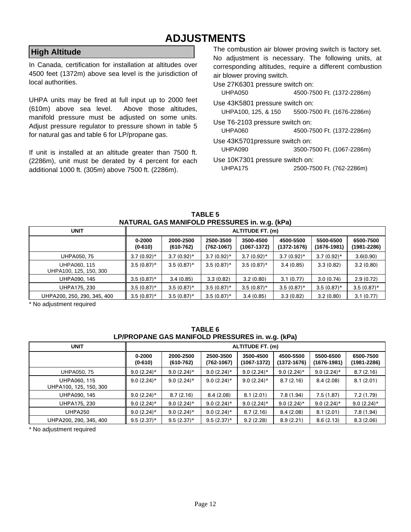## **ADJUSTMENTS**

#### **High Altitude**

In Canada, certification for installation at altitudes over 4500 feet (1372m) above sea level is the jurisdiction of local authorities.

UHPA units may be fired at full input up to 2000 feet (610m) above sea level. Above those altitudes, manifold pressure must be adjusted on some units. Adjust pressure regulator to pressure shown in table 5 for natural gas and table 6 for LP/propane gas.

If unit is installed at an altitude greater than 7500 ft. (2286m), unit must be derated by 4 percent for each additional 1000 ft. (305m) above 7500 ft. (2286m).

The combustion air blower proving switch is factory set. No adjustment is necessary. The following units, at corresponding altitudes, require a different combustion air blower proving switch.

Use 27K6301 pressure switch on:

UHPA050 4500-7500 Ft. (1372-2286m)

Use 43K5801 pressure switch on:

UHPA100, 125, & 150 5500-7500 Ft. (1676-2286m)

Use T6-2103 pressure switch on:

UHPA060 4500-7500 Ft. (1372-2286m)

Use 43K5701pressure switch on: UHPA090 3500-7500 Ft. (1067-2286m)

Use 10K7301 pressure switch on:

UHPA175 2500-7500 Ft. (762-2286m)

| <b>UNIT</b>                            |                     | ALTITUDE FT. (m)           |                             |                              |                              |                              |                              |  |  |  |
|----------------------------------------|---------------------|----------------------------|-----------------------------|------------------------------|------------------------------|------------------------------|------------------------------|--|--|--|
|                                        | 0-2000<br>$(0-610)$ | 2000-2500<br>$(610 - 762)$ | 2500-3500<br>$(762 - 1067)$ | 3500-4500<br>$(1067 - 1372)$ | 4500-5500<br>$(1372 - 1676)$ | 5500-6500<br>$(1676 - 1981)$ | 6500-7500<br>$(1981 - 2286)$ |  |  |  |
| <b>UHPA050, 75</b>                     | $3.7(0.92)$ *       | $3.7(0.92)$ *              | $3.7(0.92)$ *               | $3.7(0.92)$ *                | $3.7(0.92)$ *                | $3.7(0.92)$ *                | 3.6(0.90)                    |  |  |  |
| UHPA060, 115<br>UHPA100, 125, 150, 300 | $3.5(0.87)$ *       | $3.5(0.87)$ *              | $3.5(0.87)$ *               | $3.5(0.87)$ *                | 3.4(0.85)                    | 3.3(0.82)                    | 3.2(0.80)                    |  |  |  |
| UHPA090, 145                           | $3.5(0.87)$ *       | 3.4(0.85)                  | 3.3(0.82)                   | 3.2(0.80)                    | 3.1(0.77)                    | 3.0(0.74)                    | 2.9(0.72)                    |  |  |  |
| UHPA175, 230                           | $3.5(0.87)$ *       | $3.5(0.87)$ *              | $3.5(0.87)$ *               | $3.5(0.87)$ *                | $3.5(0.87)$ *                | $3.5(0.87)$ *                | $3.5(0.87)$ *                |  |  |  |
| UHPA200, 250, 290, 345, 400            | $3.5(0.87)$ *       | $3.5(0.87)$ *              | $3.5(0.87)$ *               | 3.4(0.85)                    | 3.3(0.82)                    | 3.2(0.80)                    | 3.1(0.77)                    |  |  |  |

**TABLE 5 NATURAL GAS MANIFOLD PRESSURES in. w.g. (kPa)** 

\* No adjustment required

| TABLE 6                                          |
|--------------------------------------------------|
| LP/PROPANE GAS MANIFOLD PRESSURES in. w.g. (kPa) |

| <b>UNIT</b>                            |                     | <b>ALTITUDE FT. (m)</b>    |                             |                              |                              |                              |                          |  |  |  |
|----------------------------------------|---------------------|----------------------------|-----------------------------|------------------------------|------------------------------|------------------------------|--------------------------|--|--|--|
|                                        | 0-2000<br>$(0-610)$ | 2000-2500<br>$(610 - 762)$ | 2500-3500<br>$(762 - 1067)$ | 3500-4500<br>$(1067 - 1372)$ | 4500-5500<br>$(1372 - 1676)$ | 5500-6500<br>$(1676 - 1981)$ | 6500-7500<br>(1981-2286) |  |  |  |
| UHPA050, 75                            | $9.0(2.24)$ *       | $9.0(2.24)$ *              | $9.0(2.24)$ *               | $9.0(2.24)$ *                | $9.0(2.24)$ *                | $9.0(2.24)$ *                | 8.7(2.16)                |  |  |  |
| UHPA060, 115<br>UHPA100, 125, 150, 300 | $9.0(2.24)$ *       | $9.0(2.24)$ *              | $9.0(2.24)$ *               | $9.0(2.24)$ *                | 8.7(2.16)                    | 8.4(2.08)                    | 8.1(2.01)                |  |  |  |
| UHPA090, 145                           | $9.0(2.24)$ *       | 8.7(2.16)                  | 8.4(2.08)                   | 8.1(2.01)                    | 7.8(1.94)                    | 7.5(1.87)                    | 7.2(1.79)                |  |  |  |
| UHPA175, 230                           | $9.0(2.24)$ *       | $9.0(2.24)$ *              | $9.0(2.24)$ *               | $9.0(2.24)$ *                | $9.0(2.24)$ *                | $9.0(2.24)$ *                | $9.0(2.24)$ *            |  |  |  |
| <b>UHPA250</b>                         | $9.0(2.24)$ *       | $9.0(2.24)$ *              | $9.0(2.24)$ *               | 8.7(2.16)                    | 8.4(2.08)                    | 8.1(2.01)                    | 7.8(1.94)                |  |  |  |
| UHPA200, 290, 345, 400                 | $9.5(2.37)^*$       | $9.5(2.37)^*$              | $9.5(2.37)^*$               | 9.2(2.28)                    | 8.9(2.21)                    | 8.6(2.13)                    | 8.3(2.06)                |  |  |  |

\* No adjustment required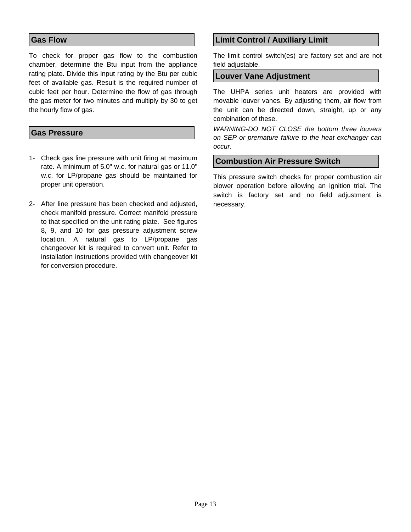#### **Gas Flow**

To check for proper gas flow to the combustion chamber, determine the Btu input from the appliance rating plate. Divide this input rating by the Btu per cubic feet of available gas. Result is the required number of cubic feet per hour. Determine the flow of gas through the gas meter for two minutes and multiply by 30 to get the hourly flow of gas.

#### **Gas Pressure**

- 1- Check gas line pressure with unit firing at maximum rate. A minimum of 5.0" w.c. for natural gas or 11.0" w.c. for LP/propane gas should be maintained for proper unit operation.
- 2- After line pressure has been checked and adjusted, check manifold pressure. Correct manifold pressure to that specified on the unit rating plate. See figures 8, 9, and 10 for gas pressure adjustment screw location. A natural gas to LP/propane gas changeover kit is required to convert unit. Refer to installation instructions provided with changeover kit for conversion procedure.

#### **Limit Control / Auxiliary Limit**

The limit control switch(es) are factory set and are not field adjustable.

#### **Louver Vane Adjustment**

The UHPA series unit heaters are provided with movable louver vanes. By adjusting them, air flow from the unit can be directed down, straight, up or any combination of these.

*WARNING-DO NOT CLOSE the bottom three louvers on SEP or premature failure to the heat exchanger can occur.* 

#### **Combustion Air Pressure Switch**

This pressure switch checks for proper combustion air blower operation before allowing an ignition trial. The switch is factory set and no field adjustment is necessary.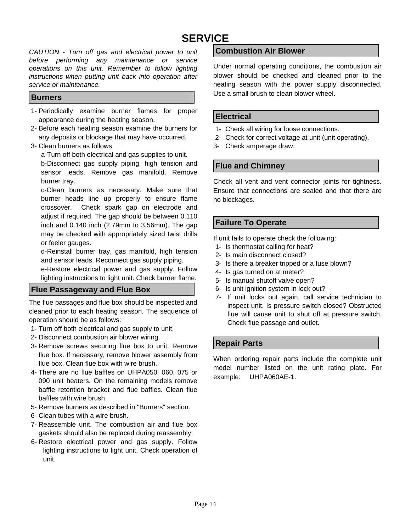# **SERVICE**

*CAUTION - Turn off gas and electrical power to unit before performing any maintenance or service operations on this unit. Remember to follow lighting instructions when putting unit back into operation after service or maintenance.* 

#### **Burners**

- 1- Periodically examine burner flames for proper appearance during the heating season.
- 2- Before each heating season examine the burners for any deposits or blockage that may have occurred.
- 3- Clean burners as follows:

a-Turn off both electrical and gas supplies to unit. b-Disconnect gas supply piping, high tension and sensor leads. Remove gas manifold. Remove burner tray.

c-Clean burners as necessary. Make sure that burner heads line up properly to ensure flame crossover. Check spark gap on electrode and adjust if required. The gap should be between 0.110 inch and 0.140 inch (2.79mm to 3.56mm). The gap may be checked with appropriately sized twist drills or feeler gauges.

d-Reinstall burner tray, gas manifold, high tension and sensor leads. Reconnect gas supply piping.

e-Restore electrical power and gas supply. Follow lighting instructions to light unit. Check burner flame.

#### **Flue Passageway and Flue Box**

The flue passages and flue box should be inspected and cleaned prior to each heating season. The sequence of operation should be as follows:

- 1- Turn off both electrical and gas supply to unit.
- 2- Disconnect combustion air blower wiring.
- 3- Remove screws securing flue box to unit. Remove flue box. If necessary, remove blower assembly from flue box. Clean flue box with wire brush.
- 4- There are no flue baffles on UHPA050, 060, 075 or 090 unit heaters. On the remaining models remove baffle retention bracket and flue baffles. Clean flue baffles with wire brush.
- 5- Remove burners as described in "Burners" section.
- 6- Clean tubes with a wire brush.
- 7- Reassemble unit. The combustion air and flue box gaskets should also be replaced during reassembly.
- 6- Restore electrical power and gas supply. Follow lighting instructions to light unit. Check operation of unit.

#### **Combustion Air Blower**

Under normal operating conditions, the combustion air blower should be checked and cleaned prior to the heating season with the power supply disconnected. Use a small brush to clean blower wheel.

#### **Electrical**

- 1- Check all wiring for loose connections.
- 2- Check for correct voltage at unit (unit operating).
- 3- Check amperage draw.

#### **Flue and Chimney**

Check all vent and vent connector joints for tightness. Ensure that connections are sealed and that there are no blockages.

#### **Failure To Operate**

If unit fails to operate check the following:

- 1- Is thermostat calling for heat?
- 2- Is main disconnect closed?
- 3- Is there a breaker tripped or a fuse blown?
- 4- Is gas turned on at meter?
- 5- Is manual shutoff valve open?
- 6- Is unit ignition system in lock out?
- 7- If unit locks out again, call service technician to inspect unit. Is pressure switch closed? Obstructed flue will cause unit to shut off at pressure switch. Check flue passage and outlet.

#### **Repair Parts**

When ordering repair parts include the complete unit model number listed on the unit rating plate. For example: UHPA060AE-1.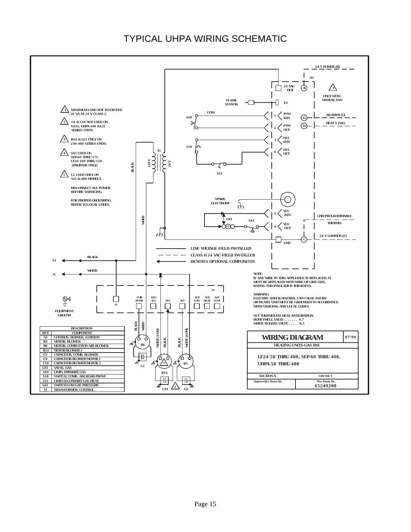### TYPICAL UHPA WIRING SCHEMATIC

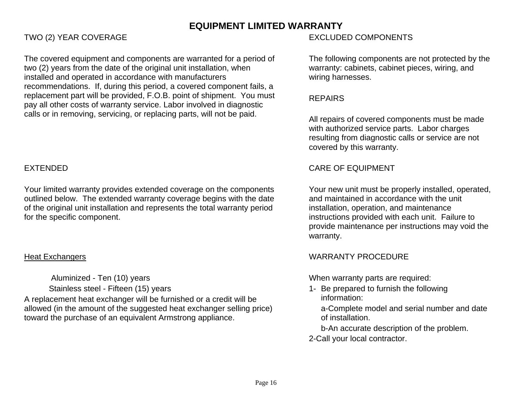### **EQUIPMENT LIMITED WARRANTY**

The covered equipment and components are warranted for a period of two (2) years from the date of the original unit installation, when installed and operated in accordance with manufacturers recommendations. If, during this period, a covered component fails, a replacement part will be provided, F.O.B. point of shipment. You must pay all other costs of warranty service. Labor involved in diagnostic calls or in removing, servicing, or replacing parts, will not be paid.

Your limited warranty provides extended coverage on the components outlined below. The extended warranty coverage begins with the date of the original unit installation and represents the total warranty period for the specific component.

### Heat Exchangers

 Aluminized - Ten (10) years Stainless steel - Fifteen (15) years A replacement heat exchanger will be furnished or a credit will be allowed (in the amount of the suggested heat exchanger selling price) toward the purchase of an equivalent Armstrong appliance.

### TWO (2) YEAR COVERAGE TWO (2) YEAR COVERAGE

The following components are not protected by the warranty: cabinets, cabinet pieces, wiring, and wiring harnesses.

### REPAIRS

All repairs of covered components must be made with authorized service parts. Labor charges resulting from diagnostic calls or service are not covered by this warranty.

### EXTENDED CARE OF EQUIPMENT

Your new unit must be properly installed, operated, and maintained in accordance with the unit installation, operation, and maintenance instructions provided with each unit. Failure to provide maintenance per instructions may void the warranty.

### WARRANTY PROCEDURE

When warranty parts are required:

1- Be prepared to furnish the following information:

a-Complete model and serial number and date of installation.

b-An accurate description of the problem.

2-Call your local contractor.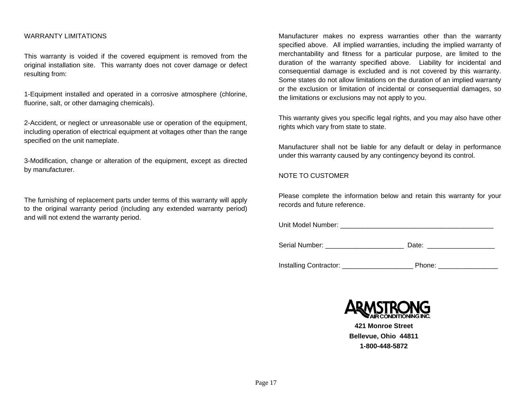#### WARRANTY LIMITATIONS

This warranty is voided if the covered equipment is removed from the original installation site. This warranty does not cover damage or defect resulting from:

1-Equipment installed and operated in a corrosive atmosphere (chlorine, fluorine, salt, or other damaging chemicals).

2-Accident, or neglect or unreasonable use or operation of the equipment, including operation of electrical equipment at voltages other than the range specified on the unit nameplate.

3-Modification, change or alteration of the equipment, except as directed by manufacturer.

The furnishing of replacement parts under terms of this warranty will apply to the original warranty period (including any extended warranty period) and will not extend the warranty period.

Manufacturer makes no express warranties other than the warranty specified above. All implied warranties, including the implied warranty of merchantability and fitness for a particular purpose, are limited to the duration of the warranty specified above. Liability for incidental and consequential damage is excluded and is not covered by this warranty. Some states do not allow limitations on the duration of an implied warranty or the exclusion or limitation of incidental or consequential damages, so the limitations or exclusions may not apply to you.

This warranty gives you specific legal rights, and you may also have other rights which vary from state to state.

Manufacturer shall not be liable for any default or delay in performance under this warranty caused by any contingency beyond its control.

#### NOTE TO CUSTOMER

Please complete the information below and retain this warranty for your records and future reference.

Unit Model Number: \_\_\_\_\_\_\_\_\_\_\_\_\_\_\_\_\_\_\_\_\_\_\_\_\_\_\_\_\_\_\_\_\_\_\_\_\_\_\_\_\_

Serial Number: <br>
Date:

Installing Contractor: \_\_\_\_\_\_\_\_\_\_\_\_\_\_\_\_\_\_\_ Phone: \_\_\_\_\_\_\_\_\_\_\_\_\_\_\_\_